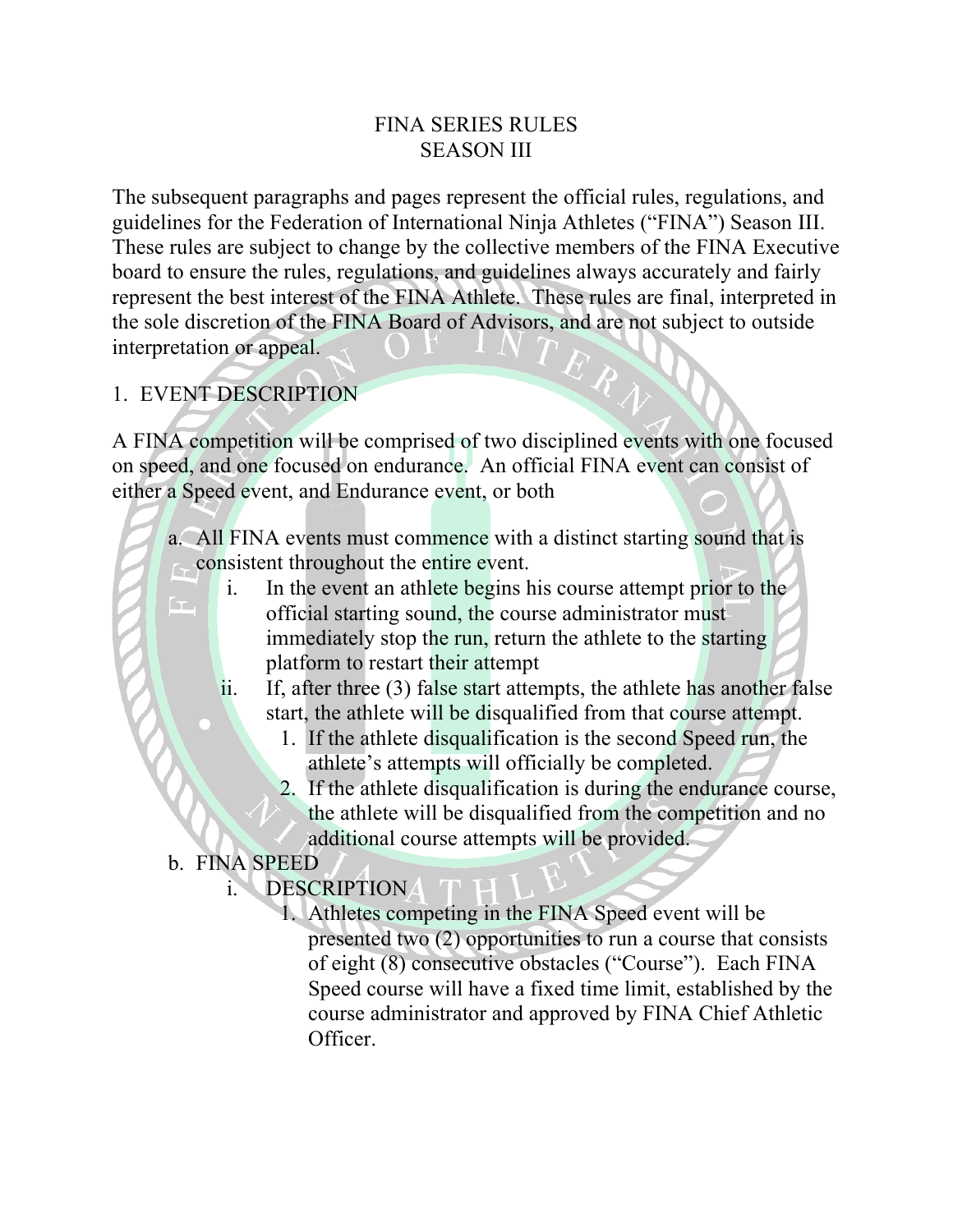#### FINA SERIES RULES SEASON III

The subsequent paragraphs and pages represent the official rules, regulations, and guidelines for the Federation of International Ninja Athletes ("FINA") Season III. These rules are subject to change by the collective members of the FINA Executive board to ensure the rules, regulations, and guidelines always accurately and fairly represent the best interest of the FINA Athlete. These rules are final, interpreted in the sole discretion of the FINA Board of Advisors, and are not subject to outside interpretation or appeal.

### 1. EVENT DESCRIPTION

A FINA competition will be comprised of two disciplined events with one focused on speed, and one focused on endurance. An official FINA event can consist of either a Speed event, and Endurance event, or both

- a. All FINA events must commence with a distinct starting sound that is consistent throughout the entire event.
	- i. In the event an athlete begins his course attempt prior to the official starting sound, the course administrator must immediately stop the run, return the athlete to the starting platform to restart their attempt
	- ii. If, after three (3) false start attempts, the athlete has another false start, the athlete will be disqualified from that course attempt.
		- 1. If the athlete disqualification is the second Speed run, the athlete's attempts will officially be completed.
		- 2. If the athlete disqualification is during the endurance course, the athlete will be disqualified from the competition and no additional course attempts will be provided.

# b. FINA SPEED

- i. DESCRIPTION
	- 1. Athletes competing in the FINA Speed event will be presented two (2) opportunities to run a course that consists of eight (8) consecutive obstacles ("Course"). Each FINA Speed course will have a fixed time limit, established by the course administrator and approved by FINA Chief Athletic Officer.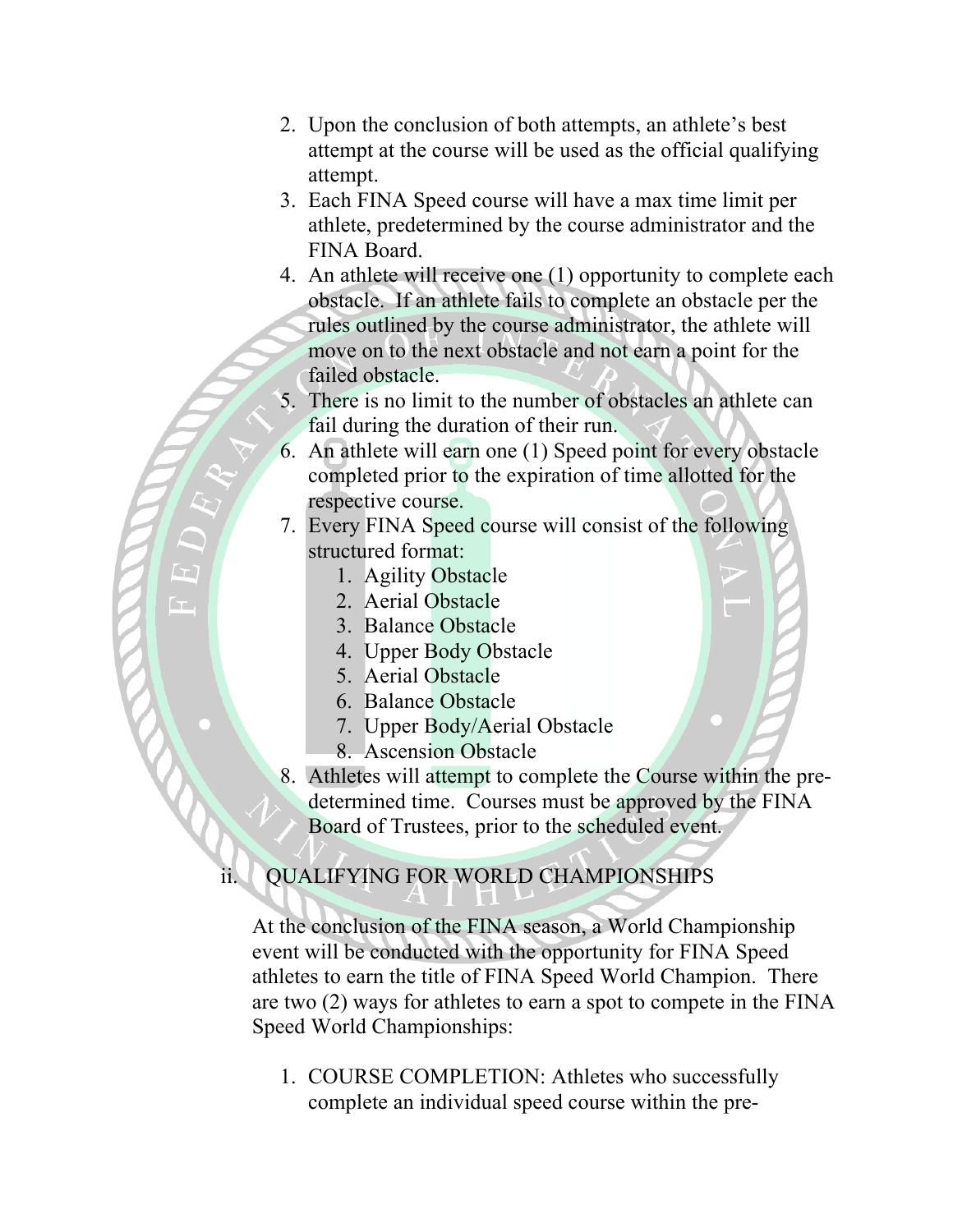- 2. Upon the conclusion of both attempts, an athlete's best attempt at the course will be used as the official qualifying attempt.
- 3. Each FINA Speed course will have a max time limit per athlete, predetermined by the course administrator and the FINA Board.
- 4. An athlete will receive one (1) opportunity to complete each obstacle. If an athlete fails to complete an obstacle per the rules outlined by the course administrator, the athlete will move on to the next obstacle and not earn a point for the failed obstacle.
- 5. There is no limit to the number of obstacles an athlete can fail during the duration of their run.
- 6. An athlete will earn one (1) Speed point for every obstacle completed prior to the expiration of time allotted for the respective course.
- 7. Every FINA Speed course will consist of the following structured format:
	- 1. Agility Obstacle
	- 2. Aerial Obstacle
	- 3. Balance Obstacle
	- 4. Upper Body Obstacle
	- 5. Aerial Obstacle
	- 6. Balance Obstacle
	- 7. Upper Body/Aerial Obstacle
	- 8. Ascension Obstacle
- 8. Athletes will attempt to complete the Course within the predetermined time. Courses must be approved by the FINA Board of Trustees, prior to the scheduled event.

# QUALIFYING FOR WORLD CHAMPIONSHIPS

At the conclusion of the FINA season, a World Championship event will be conducted with the opportunity for FINA Speed athletes to earn the title of FINA Speed World Champion. There are two (2) ways for athletes to earn a spot to compete in the FINA Speed World Championships:

1. COURSE COMPLETION: Athletes who successfully complete an individual speed course within the pre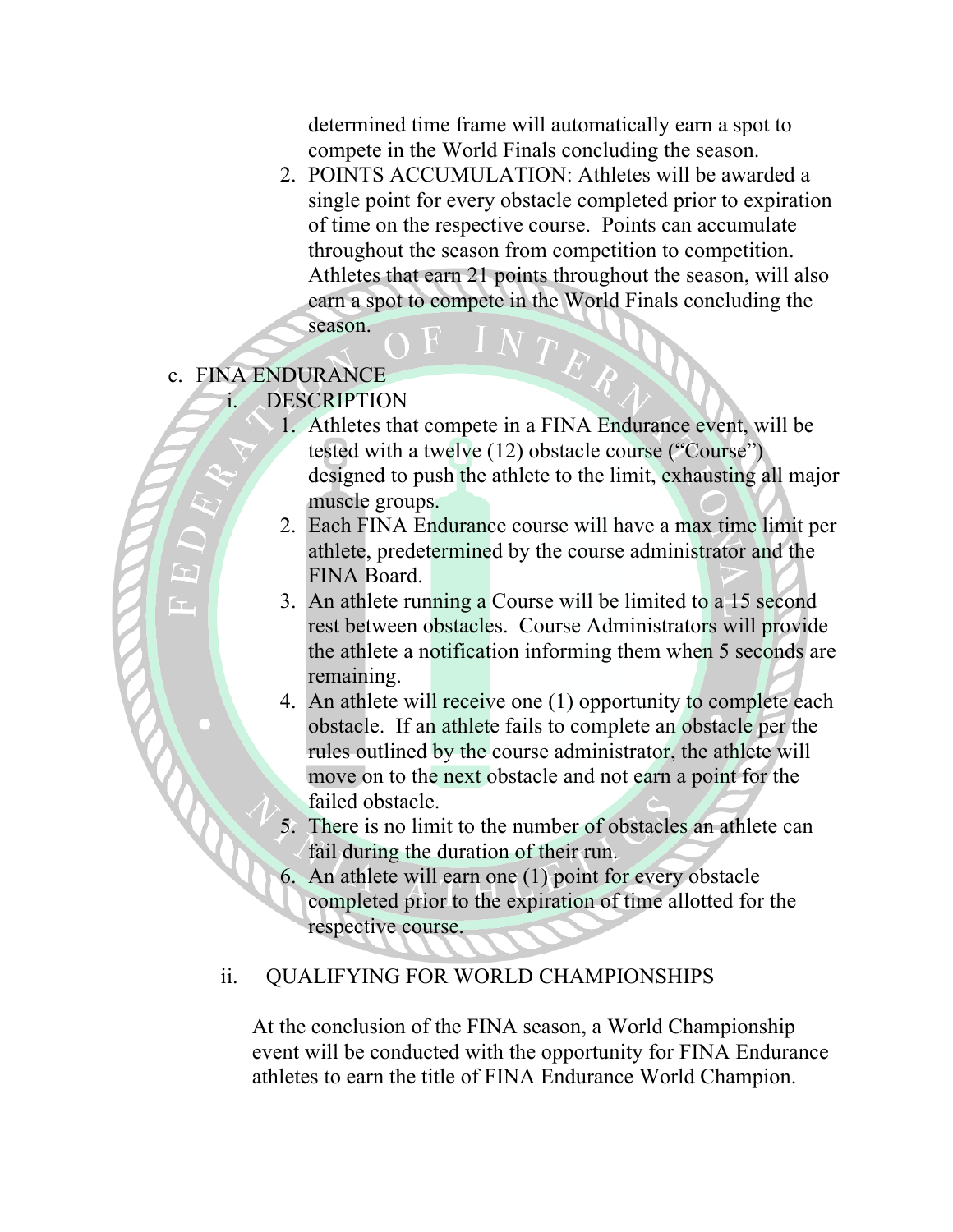determined time frame will automatically earn a spot to compete in the World Finals concluding the season.

- 2. POINTS ACCUMULATION: Athletes will be awarded a single point for every obstacle completed prior to expiration of time on the respective course. Points can accumulate throughout the season from competition to competition. Athletes that earn 21 points throughout the season, will also earn a spot to compete in the World Finals concluding the season.
- c. FINA ENDURANCE i. DESCRIPTION
	- 1. Athletes that compete in a FINA Endurance event, will be tested with a twelve (12) obstacle course ("Course") designed to push the athlete to the limit, exhausting all major muscle groups.
	- 2. Each FINA Endurance course will have a max time limit per athlete, predetermined by the course administrator and the FINA Board.
	- 3. An athlete running a Course will be limited to a 15 second rest between obstacles. Course Administrators will provide the athlete a notification informing them when 5 seconds are remaining.
	- 4. An athlete will receive one (1) opportunity to complete each obstacle. If an athlete fails to complete an obstacle per the rules outlined by the course administrator, the athlete will move on to the next obstacle and not earn a point for the failed obstacle.
	- 5. There is no limit to the number of obstacles an athlete can fail during the duration of their run.
	- 6. An athlete will earn one (1) point for every obstacle completed prior to the expiration of time allotted for the respective course.

#### ii. QUALIFYING FOR WORLD CHAMPIONSHIPS

At the conclusion of the FINA season, a World Championship event will be conducted with the opportunity for FINA Endurance athletes to earn the title of FINA Endurance World Champion.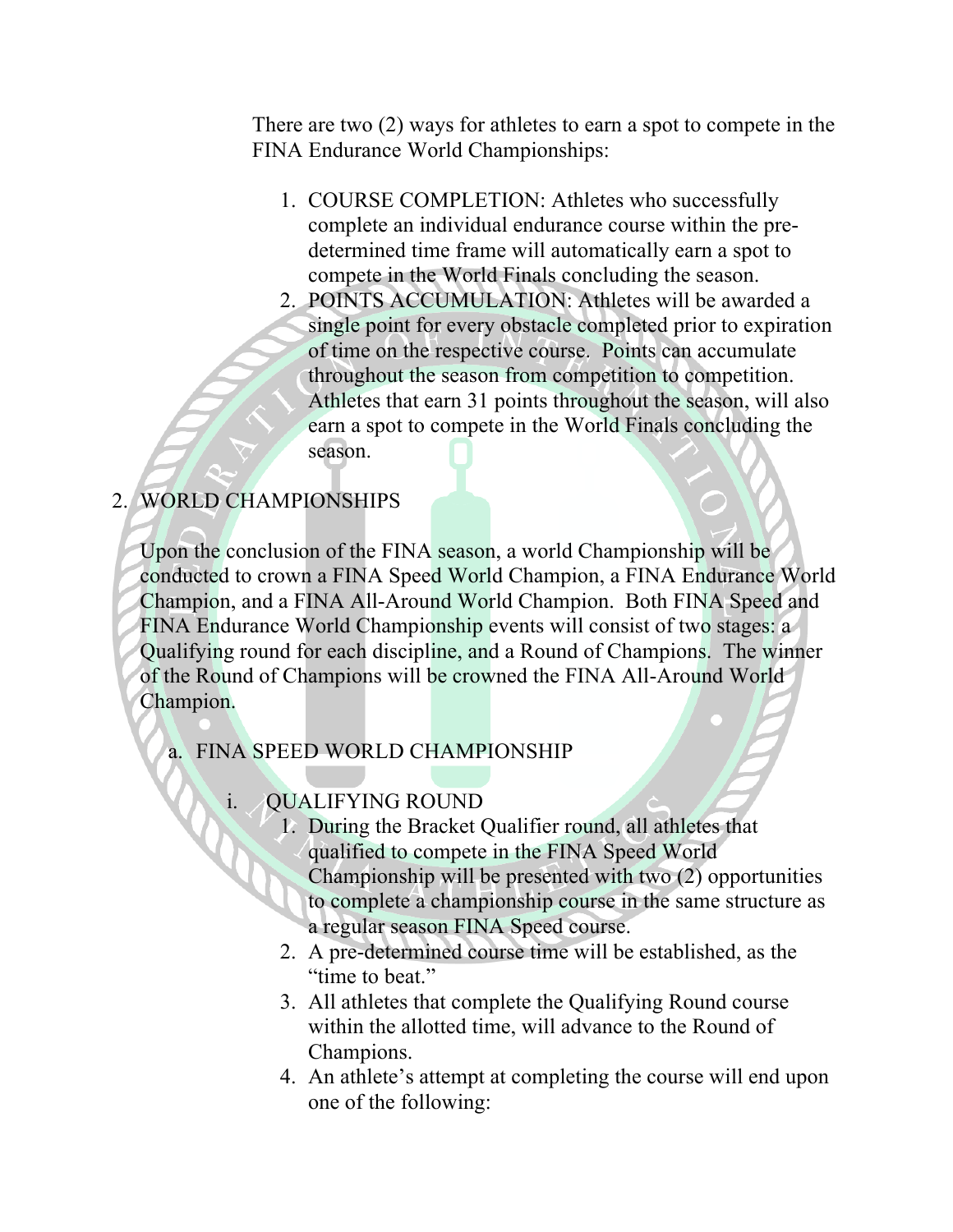There are two (2) ways for athletes to earn a spot to compete in the FINA Endurance World Championships:

- 1. COURSE COMPLETION: Athletes who successfully complete an individual endurance course within the predetermined time frame will automatically earn a spot to compete in the World Finals concluding the season.
- 2. POINTS ACCUMULATION: Athletes will be awarded a single point for every obstacle completed prior to expiration of time on the respective course. Points can accumulate throughout the season from competition to competition. Athletes that earn 31 points throughout the season, will also earn a spot to compete in the World Finals concluding the season.

### 2. WORLD CHAMPIONSHIPS

Upon the conclusion of the FINA season, a world Championship will be conducted to crown a FINA Speed World Champion, a FINA Endurance World Champion, and a FINA All-Around World Champion. Both FINA Speed and FINA Endurance World Championship events will consist of two stages: a Qualifying round for each discipline, and a Round of Champions. The winner of the Round of Champions will be crowned the FINA All-Around World Champion.

# a. FINA SPEED WORLD CHAMPIONSHIP

#### i. QUALIFYING ROUND

- 1. During the Bracket Qualifier round, all athletes that qualified to compete in the FINA Speed World Championship will be presented with two (2) opportunities to complete a championship course in the same structure as a regular season FINA Speed course.
- 2. A pre-determined course time will be established, as the "time to beat."
- 3. All athletes that complete the Qualifying Round course within the allotted time, will advance to the Round of Champions.
- 4. An athlete's attempt at completing the course will end upon one of the following: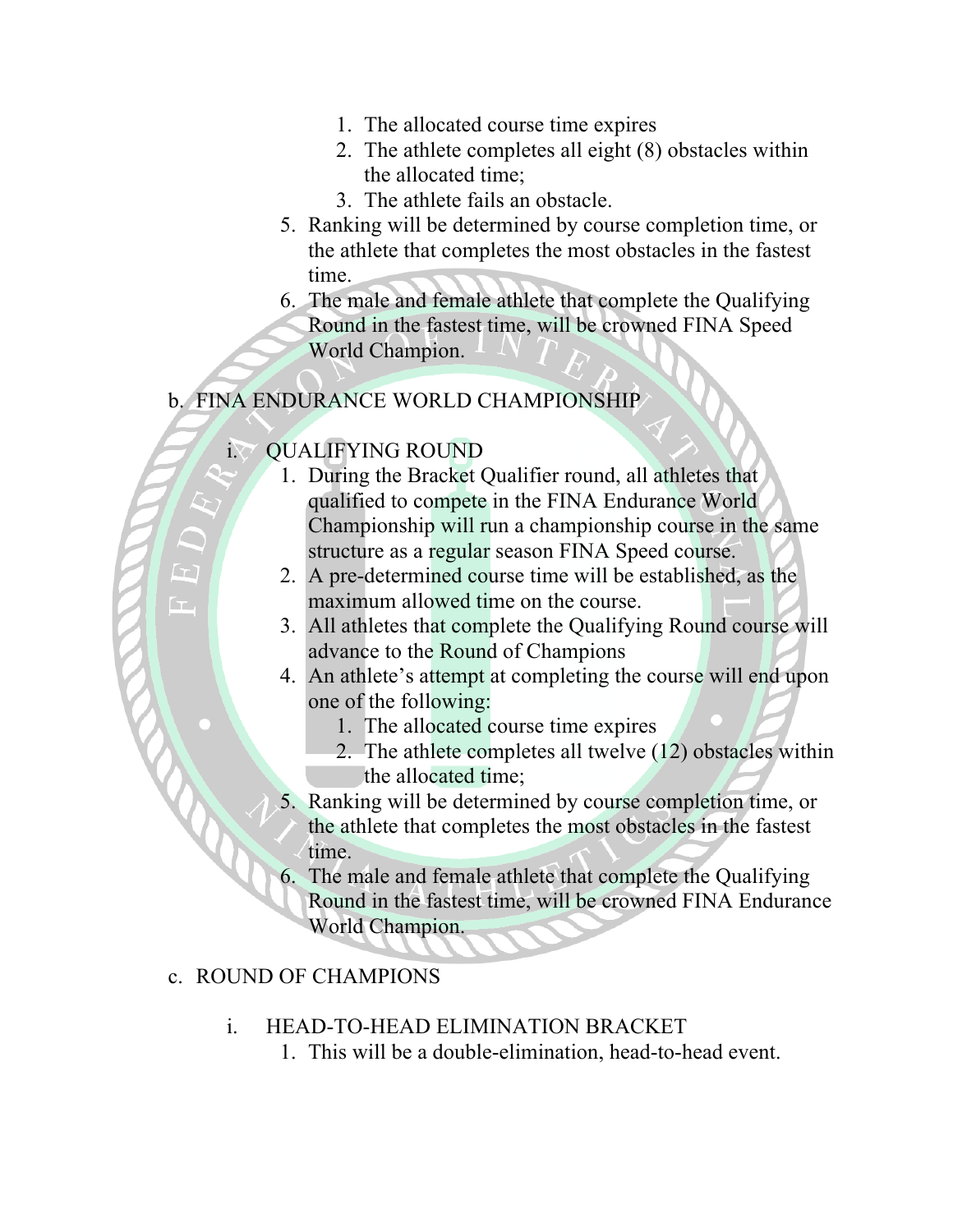- 1. The allocated course time expires
- 2. The athlete completes all eight (8) obstacles within the allocated time;
- 3. The athlete fails an obstacle.
- 5. Ranking will be determined by course completion time, or the athlete that completes the most obstacles in the fastest time.
- 6. The male and female athlete that complete the Qualifying Round in the fastest time, will be crowned FINA Speed World Champion.

# b. FINA ENDURANCE WORLD CHAMPIONSHIP

# i. OUALIFYING ROUND

- 1. During the Bracket Qualifier round, all athletes that qualified to compete in the FINA Endurance World Championship will run a championship course in the same structure as a regular season FINA Speed course.
- 2. A pre-determined course time will be established, as the maximum allowed time on the course.
- 3. All athletes that complete the Qualifying Round course will advance to the Round of Champions
- 4. An athlete's attempt at completing the course will end upon one of the following:
	- 1. The allocated course time expires
	- 2. The athlete completes all twelve (12) obstacles within the allocated time;
- 5. Ranking will be determined by course completion time, or the athlete that completes the most obstacles in the fastest time.
- 6. The male and female athlete that complete the Qualifying Round in the fastest time, will be crowned FINA Endurance World Champion.

#### c. ROUND OF CHAMPIONS

#### i. HEAD-TO-HEAD ELIMINATION BRACKET

1. This will be a double-elimination, head-to-head event.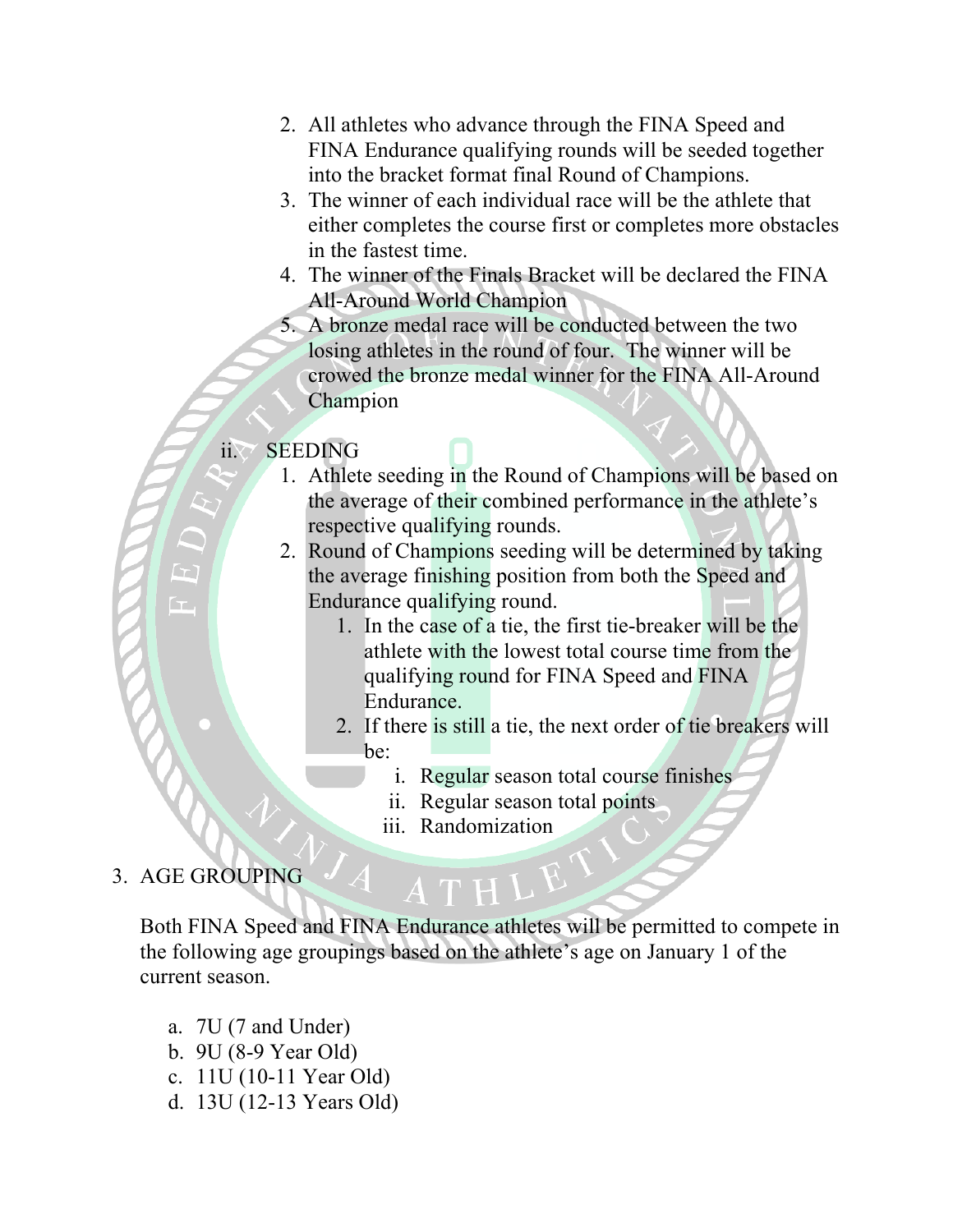- 2. All athletes who advance through the FINA Speed and FINA Endurance qualifying rounds will be seeded together into the bracket format final Round of Champions.
- 3. The winner of each individual race will be the athlete that either completes the course first or completes more obstacles in the fastest time.
- 4. The winner of the Finals Bracket will be declared the FINA All-Around World Champion
- 5. A bronze medal race will be conducted between the two losing athletes in the round of four. The winner will be crowed the bronze medal winner for the FINA All-Around Champion
- ii. SEEDING
	- 1. Athlete seeding in the Round of Champions will be based on the average of their combined performance in the athlete's respective qualifying rounds.
	- 2. Round of Champions seeding will be determined by taking the average finishing position from both the Speed and Endurance qualifying round.
		- 1. In the case of a tie, the first tie-breaker will be the athlete with the lowest total course time from the qualifying round for FINA Speed and FINA Endurance.
		- 2. If there is still a tie, the next order of tie breakers will be:
			- i. Regular season total course finishes
			- ii. Regular season total points
			- iii. Randomization
- 3. AGE GROUPING

Both FINA Speed and FINA Endurance athletes will be permitted to compete in the following age groupings based on the athlete's age on January 1 of the current season.

- a. 7U (7 and Under)
- b. 9U (8-9 Year Old)
- c. 11U (10-11 Year Old)
- d. 13U (12-13 Years Old)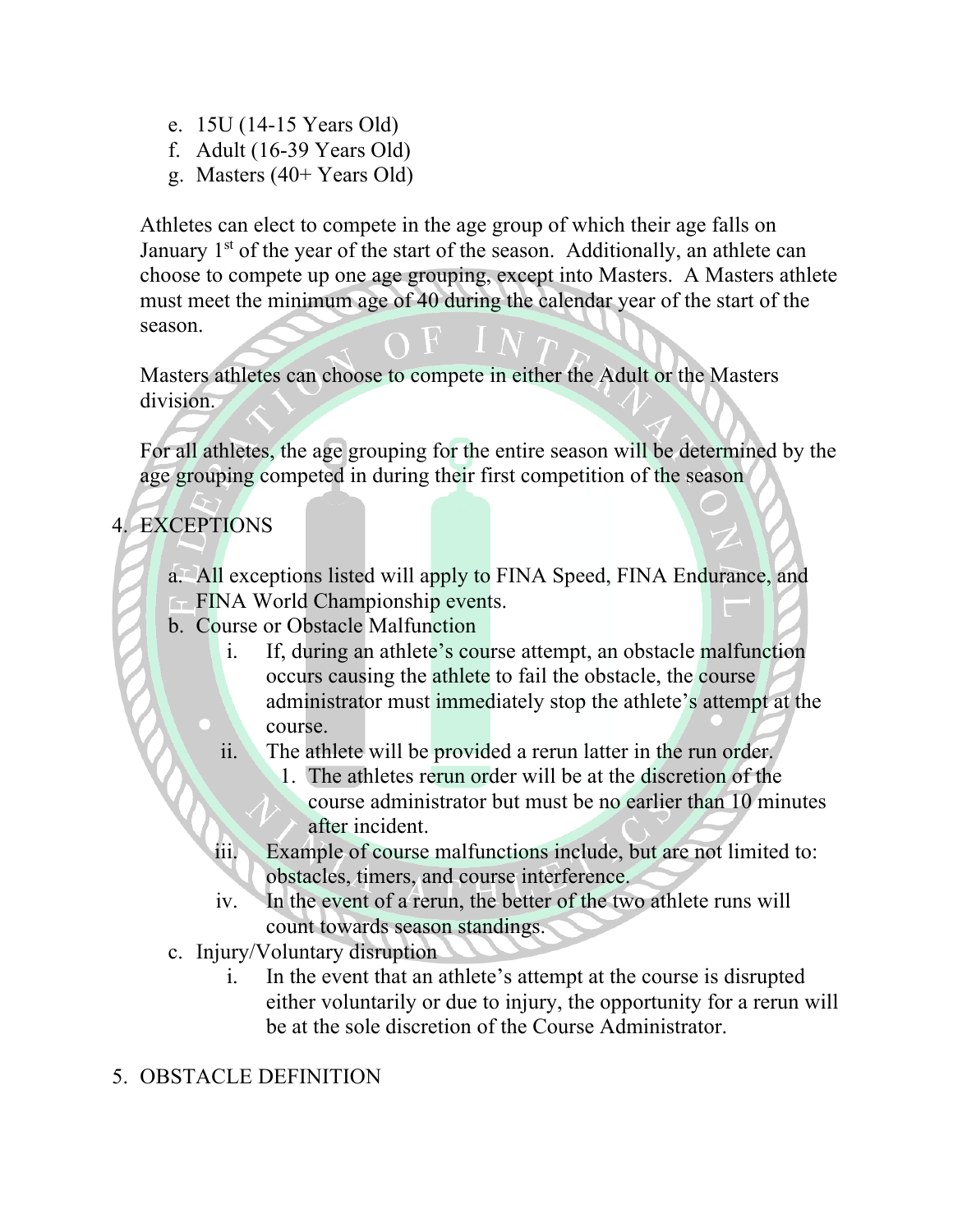- e. 15U (14-15 Years Old)
- f. Adult (16-39 Years Old)
- g. Masters (40+ Years Old)

Athletes can elect to compete in the age group of which their age falls on January  $1<sup>st</sup>$  of the year of the start of the season. Additionally, an athlete can choose to compete up one age grouping, except into Masters. A Masters athlete must meet the minimum age of 40 during the calendar year of the start of the season.

Masters athletes can choose to compete in either the Adult or the Masters division.

For all athletes, the age grouping for the entire season will be determined by the age grouping competed in during their first competition of the season

# 4. EXCEPTIONS

- a. All exceptions listed will apply to FINA Speed, FINA Endurance, and
- $F$ FINA World Championship events.
- b. Course or Obstacle Malfunction
	- i. If, during an athlete's course attempt, an obstacle malfunction occurs causing the athlete to fail the obstacle, the course administrator must immediately stop the athlete's attempt at the course.
	- ii. The athlete will be provided a rerun latter in the run order.
		- 1. The athletes rerun order will be at the discretion of the course administrator but must be no earlier than 10 minutes after incident.
	- iii. Example of course malfunctions include, but are not limited to: obstacles, timers, and course interference.
	- iv. In the event of a rerun, the better of the two athlete runs will count towards season standings.
- c. Injury/Voluntary disruption
	- i. In the event that an athlete's attempt at the course is disrupted either voluntarily or due to injury, the opportunity for a rerun will be at the sole discretion of the Course Administrator.
- 5. OBSTACLE DEFINITION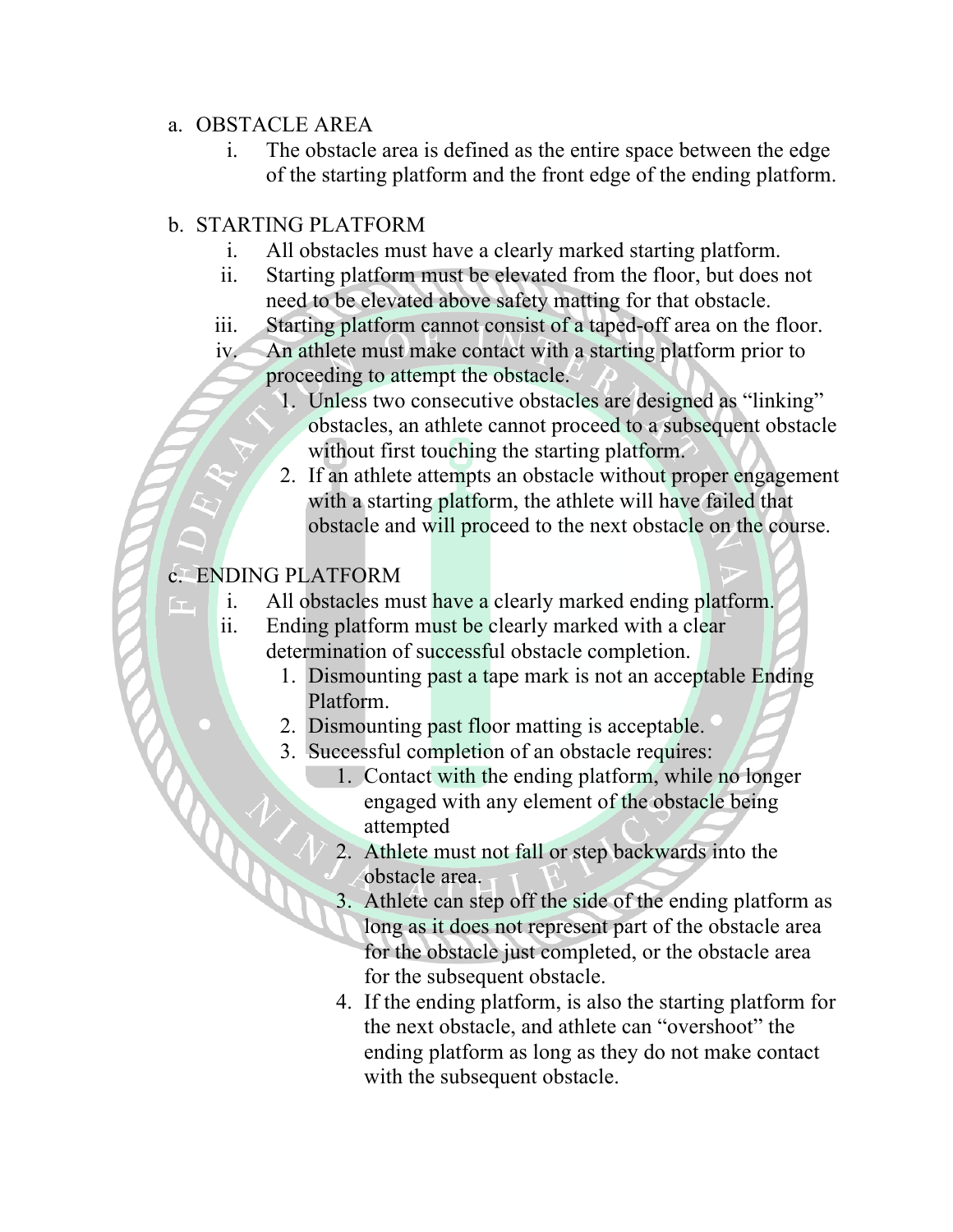#### a. OBSTACLE AREA

i. The obstacle area is defined as the entire space between the edge of the starting platform and the front edge of the ending platform.

### b. STARTING PLATFORM

- i. All obstacles must have a clearly marked starting platform.
- ii. Starting platform must be elevated from the floor, but does not need to be elevated above safety matting for that obstacle.
- iii. Starting platform cannot consist of a taped-off area on the floor.
- iv. An athlete must make contact with a starting platform prior to proceeding to attempt the obstacle.
	- 1. Unless two consecutive obstacles are designed as "linking" obstacles, an athlete cannot proceed to a subsequent obstacle without first touching the starting platform.
	- 2. If an athlete attempts an obstacle without proper engagement with a starting platform, the athlete will have failed that obstacle and will proceed to the next obstacle on the course.

# c. ENDING PLATFORM

- i. All obstacles must have a clearly marked ending platform.
- ii. Ending platform must be clearly marked with a clear determination of successful obstacle completion.
	- 1. Dismounting past a tape mark is not an acceptable Ending Platform.
	- 2. Dismounting past floor matting is acceptable.
	- 3. Successful completion of an obstacle requires:
		- 1. Contact with the ending platform, while no longer engaged with any element of the obstacle being attempted
		- 2. Athlete must not fall or step backwards into the obstacle area.
		- 3. Athlete can step off the side of the ending platform as long as it does not represent part of the obstacle area for the obstacle just completed, or the obstacle area for the subsequent obstacle.
		- 4. If the ending platform, is also the starting platform for the next obstacle, and athlete can "overshoot" the ending platform as long as they do not make contact with the subsequent obstacle.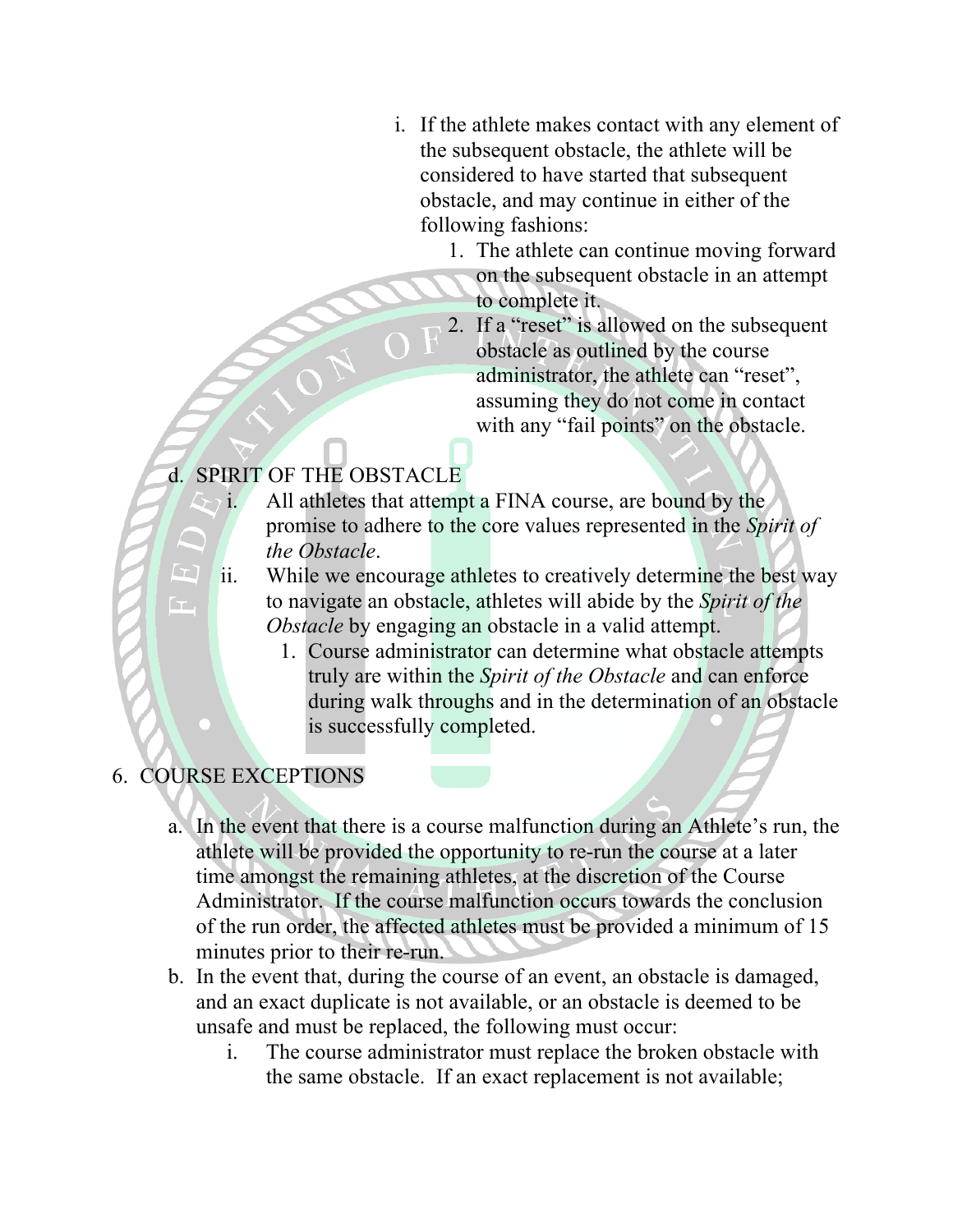- i. If the athlete makes contact with any element of the subsequent obstacle, the athlete will be considered to have started that subsequent obstacle, and may continue in either of the following fashions:
	- 1. The athlete can continue moving forward on the subsequent obstacle in an attempt to complete it.
	- 2. If a "reset" is allowed on the subsequent obstacle as outlined by the course administrator, the athlete can "reset", assuming they do not come in contact with any "fail points" on the obstacle.

#### d. SPIRIT OF THE OBSTACLE

- $\geq$  i. All athletes that attempt a FINA course, are bound by the promise to adhere to the core values represented in the *Spirit of the Obstacle*.
	- ii. While we encourage athletes to creatively determine the best way to navigate an obstacle, athletes will abide by the *Spirit of the Obstacle* by engaging an obstacle in a valid attempt.
		- 1. Course administrator can determine what obstacle attempts truly are within the *Spirit of the Obstacle* and can enforce during walk throughs and in the determination of an obstacle is successfully completed.

# 6. COURSE EXCEPTIONS

- a. In the event that there is a course malfunction during an Athlete's run, the athlete will be provided the opportunity to re-run the course at a later time amongst the remaining athletes, at the discretion of the Course Administrator. If the course malfunction occurs towards the conclusion of the run order, the affected athletes must be provided a minimum of 15 minutes prior to their re-run.
- b. In the event that, during the course of an event, an obstacle is damaged, and an exact duplicate is not available, or an obstacle is deemed to be unsafe and must be replaced, the following must occur:
	- i. The course administrator must replace the broken obstacle with the same obstacle. If an exact replacement is not available;